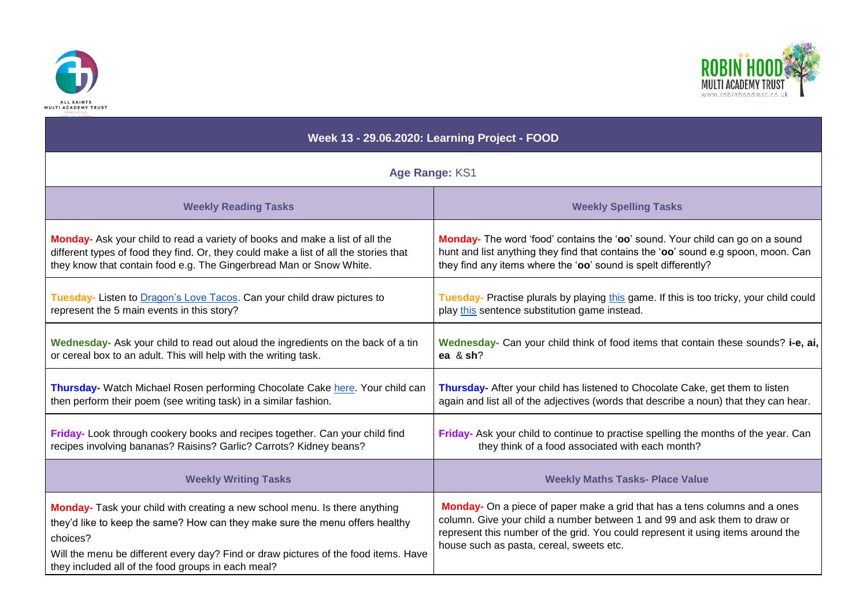



| Week 13 - 29.06.2020: Learning Project - FOOD                                                                                                                                                                                                                                                                       |                                                                                                                                                                                                                                                                                         |
|---------------------------------------------------------------------------------------------------------------------------------------------------------------------------------------------------------------------------------------------------------------------------------------------------------------------|-----------------------------------------------------------------------------------------------------------------------------------------------------------------------------------------------------------------------------------------------------------------------------------------|
| Age Range: KS1                                                                                                                                                                                                                                                                                                      |                                                                                                                                                                                                                                                                                         |
| <b>Weekly Reading Tasks</b>                                                                                                                                                                                                                                                                                         | <b>Weekly Spelling Tasks</b>                                                                                                                                                                                                                                                            |
| Monday- Ask your child to read a variety of books and make a list of all the                                                                                                                                                                                                                                        | Monday- The word 'food' contains the 'oo' sound. Your child can go on a sound                                                                                                                                                                                                           |
| different types of food they find. Or, they could make a list of all the stories that                                                                                                                                                                                                                               | hunt and list anything they find that contains the 'oo' sound e.g spoon, moon. Can                                                                                                                                                                                                      |
| they know that contain food e.g. The Gingerbread Man or Snow White.                                                                                                                                                                                                                                                 | they find any items where the 'oo' sound is spelt differently?                                                                                                                                                                                                                          |
| Tuesday- Listen to Dragon's Love Tacos. Can your child draw pictures to                                                                                                                                                                                                                                             | Tuesday- Practise plurals by playing this game. If this is too tricky, your child could                                                                                                                                                                                                 |
| represent the 5 main events in this story?                                                                                                                                                                                                                                                                          | play this sentence substitution game instead.                                                                                                                                                                                                                                           |
| Wednesday- Ask your child to read out aloud the ingredients on the back of a tin                                                                                                                                                                                                                                    | Wednesday- Can your child think of food items that contain these sounds? i-e, ai,                                                                                                                                                                                                       |
| or cereal box to an adult. This will help with the writing task.                                                                                                                                                                                                                                                    | ea & sh?                                                                                                                                                                                                                                                                                |
| Thursday- Watch Michael Rosen performing Chocolate Cake here. Your child can                                                                                                                                                                                                                                        | Thursday- After your child has listened to Chocolate Cake, get them to listen                                                                                                                                                                                                           |
| then perform their poem (see writing task) in a similar fashion.                                                                                                                                                                                                                                                    | again and list all of the adjectives (words that describe a noun) that they can hear.                                                                                                                                                                                                   |
| Friday- Look through cookery books and recipes together. Can your child find                                                                                                                                                                                                                                        | Friday- Ask your child to continue to practise spelling the months of the year. Can                                                                                                                                                                                                     |
| recipes involving bananas? Raisins? Garlic? Carrots? Kidney beans?                                                                                                                                                                                                                                                  | they think of a food associated with each month?                                                                                                                                                                                                                                        |
| <b>Weekly Writing Tasks</b>                                                                                                                                                                                                                                                                                         | <b>Weekly Maths Tasks- Place Value</b>                                                                                                                                                                                                                                                  |
| Monday- Task your child with creating a new school menu. Is there anything<br>they'd like to keep the same? How can they make sure the menu offers healthy<br>choices?<br>Will the menu be different every day? Find or draw pictures of the food items. Have<br>they included all of the food groups in each meal? | Monday- On a piece of paper make a grid that has a tens columns and a ones<br>column. Give your child a number between 1 and 99 and ask them to draw or<br>represent this number of the grid. You could represent it using items around the<br>house such as pasta, cereal, sweets etc. |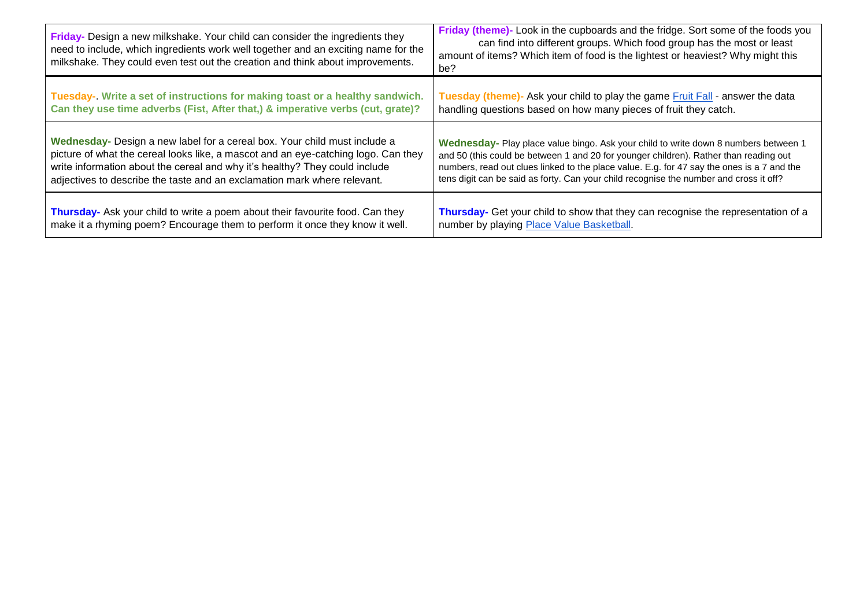| Friday- Design a new milkshake. Your child can consider the ingredients they<br>need to include, which ingredients work well together and an exciting name for the<br>milkshake. They could even test out the creation and think about improvements. | Friday (theme)- Look in the cupboards and the fridge. Sort some of the foods you<br>can find into different groups. Which food group has the most or least<br>amount of items? Which item of food is the lightest or heaviest? Why might this<br>be? |
|------------------------------------------------------------------------------------------------------------------------------------------------------------------------------------------------------------------------------------------------------|------------------------------------------------------------------------------------------------------------------------------------------------------------------------------------------------------------------------------------------------------|
| Tuesday- Write a set of instructions for making toast or a healthy sandwich.                                                                                                                                                                         | Tuesday (theme)- Ask your child to play the game Fruit Fall - answer the data                                                                                                                                                                        |
| Can they use time adverbs (Fist, After that,) & imperative verbs (cut, grate)?                                                                                                                                                                       | handling questions based on how many pieces of fruit they catch.                                                                                                                                                                                     |
| Wednesday- Design a new label for a cereal box. Your child must include a                                                                                                                                                                            | Wednesday- Play place value bingo. Ask your child to write down 8 numbers between 1                                                                                                                                                                  |
| picture of what the cereal looks like, a mascot and an eye-catching logo. Can they                                                                                                                                                                   | and 50 (this could be between 1 and 20 for younger children). Rather than reading out                                                                                                                                                                |
| write information about the cereal and why it's healthy? They could include                                                                                                                                                                          | numbers, read out clues linked to the place value. E.g. for 47 say the ones is a 7 and the                                                                                                                                                           |
| adjectives to describe the taste and an exclamation mark where relevant.                                                                                                                                                                             | tens digit can be said as forty. Can your child recognise the number and cross it off?                                                                                                                                                               |
| Thursday- Ask your child to write a poem about their favourite food. Can they                                                                                                                                                                        | Thursday- Get your child to show that they can recognise the representation of a                                                                                                                                                                     |
| make it a rhyming poem? Encourage them to perform it once they know it well.                                                                                                                                                                         | number by playing Place Value Basketball.                                                                                                                                                                                                            |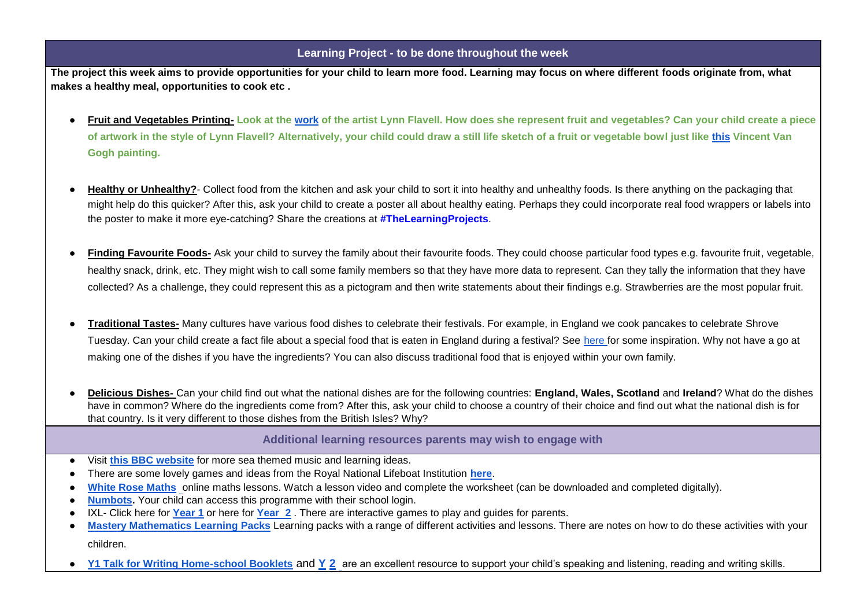## **Learning Project - to be done throughout the week**

**The project this week aims to provide opportunities for your child to learn more food. Learning may focus on where different foods originate from, what makes a healthy meal, opportunities to cook etc .** 

- **Fruit and Vegetables Printing- Look at th[e](https://www.bbc.co.uk/programmes/p01d6gw2) [work](https://www.bbc.co.uk/programmes/p01d6gw2) of the artist Lynn Flavell. How does she represent fruit and vegetables? Can your child create a piece of artwork in the style of Lynn Flavell? Alternatively, your child could draw a still life sketch of a fruit or vegetable bowl just like [this](https://www.vangoghmuseum.nl/en/collection/s0070V1962) Vincent Van Gogh painting.**
- **Healthy or Unhealthy?** Collect food from the kitchen and ask your child to sort it into healthy and unhealthy foods. Is there anything on the packaging that might help do this quicker? After this, ask your child to create a poster all about healthy eating. Perhaps they could incorporate real food wrappers or labels into the poster to make it more eye-catching? Share the creations at **#TheLearningProjects**.
- **Finding Favourite Foods-** Ask your child to survey the family about their favourite foods. They could choose particular food types e.g. favourite fruit, vegetable, healthy snack, drink, etc. They might wish to call some family members so that they have more data to represent. Can they tally the information that they have collected? As a challenge, they could represent this as a pictogram and then write statements about their findings e.g. Strawberries are the most popular fruit.
- **Traditional Tastes-** Many cultures have various food dishes to celebrate their festivals. For example, in England we cook pancakes to celebrate Shrove Tuesday. Can your child create a fact file about a special food that is eaten in England during a festival? See [here fo](http://projectbritain.com/festfood.htm)r some inspiration. Why not have a go at making one of the dishes if you have the ingredients? You can also discuss traditional food that is enjoyed within your own family.
- **Delicious Dishes-** Can your child find out what the national dishes are for the following countries: **England, Wales, Scotland** and **Ireland**? What do the dishes have in common? Where do the ingredients come from? After this, ask your child to choose a country of their choice and find out what the national dish is for that country. Is it very different to those dishes from the British Isles? Why?

## **Additional learning resources parents may wish to engage with**

- Visit **[this BBC website](https://www.bbc.co.uk/teach/school-radio/music-ks1-sun-sea-song-index/zr4x2sg)** for more sea themed music and learning ideas.
- There are some lovely games and ideas from the Royal National Lifeboat Institution **[here](https://rnli.org/youth-education/education-resources/online-learning)**[.](https://rnli.org/youth-education/education-resources/online-learning)
- **[White Rose Maths](https://whiterosemaths.com/homelearning/)** online maths lessons. Watch a lesson video and complete the worksheet (can be downloaded and completed digitally).
- **[Numbots.](https://numbots.com/)** Your child can access this programme with their school login.
- [IXL-](https://uk.ixl.com/math/reception) Click here f[o](https://uk.ixl.com/math/year-1)r **[Year 1](https://uk.ixl.com/math/year-1)** or here for **[Year 2](https://uk.ixl.com/math/year-2)**. There are interactive games to play and guides for parents.
- **[Mastery Mathematics Learning Packs](https://www.mathematicsmastery.org/free-resources)** Learning packs with a range of different activities and lessons. There are notes on how to do these activities with your children.
- **[Y1 Talk for Writing Home-school Booklets](https://www.talk4writing.co.uk/wp-content/uploads/2020/04/Y1-Unit.pdfReception-Unit.pdf)** and **[Y](https://www.talk4writing.co.uk/wp-content/uploads/2020/04/Y2-Unit.pdf) [2](https://www.talk4writing.co.uk/wp-content/uploads/2020/04/Y2-Unit.pdf)** are an excellent resource to support your child's speaking and listening, reading and writing skills.